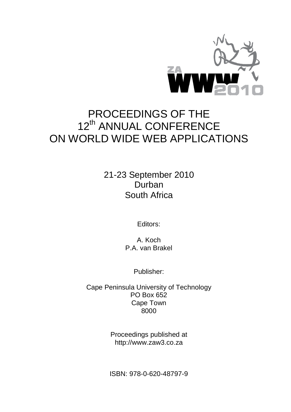

# PROCEEDINGS OF THE 12<sup>th</sup> ANNUAL CONFERENCE ON WORLD WIDE WEB APPLICATIONS

21-23 September 2010 Durban South Africa

Editors:

A. Koch P.A. van Brakel

Publisher:

Cape Peninsula University of Technology PO Box 652 Cape Town 8000

> Proceedings published at http://www.zaw3.co.za

> ISBN: 978-0-620-48797-9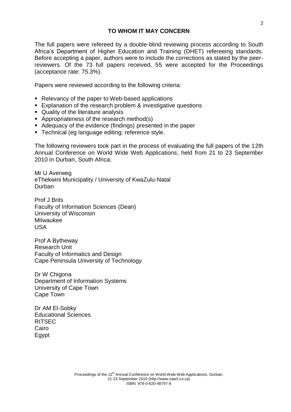The full papers were refereed by a double-blind reviewing process according to South Africa's Department of Higher Education and Training (DHET) refereeing standards. Before accepting a paper, authors were to include the corrections as stated by the peerreviewers. Of the 73 full papers received, 55 were accepted for the Proceedings (acceptance rate: 75.3%).

Papers were reviewed according to the following criteria:

- Relevancy of the paper to Web-based applications
- Explanation of the research problem & investigative questions
- Quality of the literature analysis
- Appropriateness of the research method(s)
- Adequacy of the evidence (findings) presented in the paper
- **Technical (eg language editing; reference style.**

The following reviewers took part in the process of evaluating the full papers of the 12th Annual Conference on World Wide Web Applications, held from 21 to 23 September 2010 in Durban, South Africa:

Mr U Averweg eThekwini Municipality / University of KwaZulu-Natal Durban

Prof J Brits Faculty of Information Sciences (Dean) University of Wisconsin Milwaukee USA

Prof A Bytheway Research Unit Faculty of Informatics and Design Cape Peninsula University of Technology

Dr W Chigona Department of Information Systems University of Cape Town Cape Town

Dr AM El-Sobky Educational Sciences RITSEC Cairo Egypt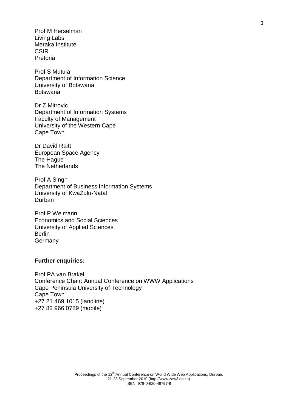Prof M Herselman Living Labs Meraka Institute **CSIR** Pretoria

Prof S Mutula Department of Information Science University of Botswana **Botswana** 

Dr Z Mitrovic Department of Information Systems Faculty of Management University of the Western Cape Cape Town

Dr David Raitt European Space Agency The Hague The Netherlands

Prof A Singh Department of Business Information Systems University of KwaZulu-Natal Durban

Prof P Weimann Economics and Social Sciences University of Applied Sciences Berlin **Germany** 

# **Further enquiries:**

Prof PA van Brakel Conference Chair: Annual Conference on WWW Applications Cape Peninsula University of Technology Cape Town +27 21 469 1015 (landline) +27 82 966 0789 (mobile)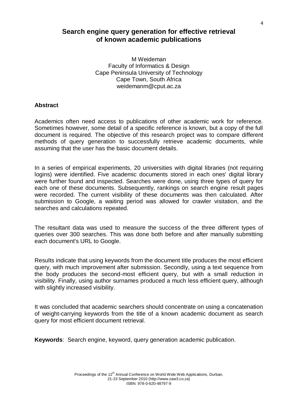# **Search engine query generation for effective retrieval of known academic publications**

M Weideman Faculty of Informatics & Design Cape Peninsula University of Technology Cape Town, South Africa weidemanm@cput.ac.za

## **Abstract**

Academics often need access to publications of other academic work for reference. Sometimes however, some detail of a specific reference is known, but a copy of the full document is required. The objective of this research project was to compare different methods of query generation to successfully retrieve academic documents, while assuming that the user has the basic document details.

In a series of empirical experiments, 20 universities with digital libraries (not requiring logins) were identified. Five academic documents stored in each ones' digital library were further found and inspected. Searches were done, using three types of query for each one of these documents. Subsequently, rankings on search engine result pages were recorded. The current visibility of these documents was then calculated. After submission to Google, a waiting period was allowed for crawler visitation, and the searches and calculations repeated.

The resultant data was used to measure the success of the three different types of queries over 300 searches. This was done both before and after manually submitting each document's URL to Google.

Results indicate that using keywords from the document title produces the most efficient query, with much improvement after submission. Secondly, using a text sequence from the body produces the second-most efficient query, but with a small reduction in visibility. Finally, using author surnames produced a much less efficient query, although with slightly increased visibility.

It was concluded that academic searchers should concentrate on using a concatenation of weight-carrying keywords from the title of a known academic document as search query for most efficient document retrieval.

**Keywords**: Search engine, keyword, query generation academic publication.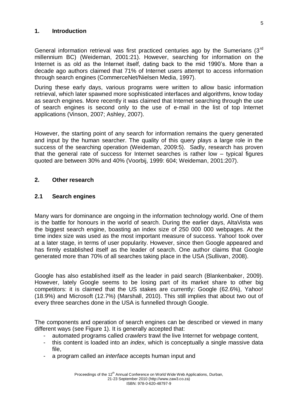# **1. Introduction**

General information retrieval was first practiced centuries ago by the Sumerians (3<sup>rd</sup>) millennium BC) (Weideman, 2001:21). However, searching for information on the Internet is as old as the Internet itself, dating back to the mid 1990's. More than a decade ago authors claimed that 71% of Internet users attempt to access information through search engines (CommerceNet/Nielsen Media, 1997).

During these early days, various programs were written to allow basic information retrieval, which later spawned more sophisticated interfaces and algorithms, know today as search engines. More recently it was claimed that Internet searching through the use of search engines is second only to the use of e-mail in the list of top Internet applications (Vinson, 2007; Ashley, 2007).

However, the starting point of any search for information remains the query generated and input by the human searcher. The quality of this query plays a large role in the success of the searching operation (Weideman, 2009:5). Sadly, research has proven that the general rate of success for Internet searches is rather low – typical figures quoted are between 30% and 40% (Voorbij, 1999: 604; Weideman, 2001:207).

# **2. Other research**

# **2.1 Search engines**

Many wars for dominance are ongoing in the information technology world. One of them is the battle for honours in the world of search. During the earlier days, AltaVista was the biggest search engine, boasting an index size of 250 000 000 webpages. At the time index size was used as the most important measure of success. Yahoo! took over at a later stage, in terms of user popularity. However, since then Google appeared and has firmly established itself as the leader of search. One author claims that Google generated more than 70% of all searches taking place in the USA (Sullivan, 2008).

Google has also established itself as the leader in paid search (Blankenbaker, 2009). However, lately Google seems to be losing part of its market share to other big competitors: it is claimed that the US stakes are currently: Google (62.6%), Yahoo! (18.9%) and Microsoft (12.7%) (Marshall, 2010). This still implies that about two out of every three searches done in the USA is funnelled through Google.

The components and operation of search engines can be described or viewed in many different ways (see Figure 1). It is generally accepted that:

- automated programs called *crawlers* trawl the live Internet for webpage content,
- this content is loaded into an *index*, which is conceptually a single massive data file,
- a program called an *interface* accepts human input and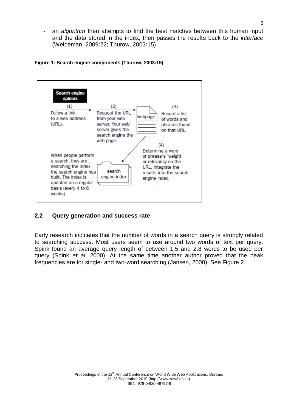an *algorithm* then attempts to find the best matches between this human input and the data stored in the index, then passes the results back to the *interface* (Weideman, 2009:22; Thurow, 2003:15).





# **2.2 Query generation and success rate**

Early research indicates that the number of words in a search query is strongly related to searching success. Most users seem to use around two words of text per query. Spink found an average query length of between 1.5 and 2.8 words to be used per query (Spink *et al*, 2000). At the same time another author proved that the peak frequencies are for single- and two-word searching (Jansen, 2000). See Figure 2.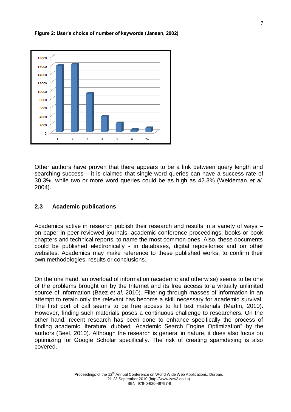**Figure 2: User's choice of number of keywords (Jansen, 2002)**



Other authors have proven that there appears to be a link between query length and searching success – it is claimed that single-word queries can have a success rate of 30.3%, while two or more word queries could be as high as 42.3% (Weideman *et al,* 2004).

# **2.3 Academic publications**

Academics active in research publish their research and results in a variety of ways – on paper in peer-reviewed journals, academic conference proceedings, books or book chapters and technical reports, to name the most common ones. Also, these documents could be published electronically - in databases, digital repositories and on other websites. Academics may make reference to these published works, to confirm their own methodologies, results or conclusions.

On the one hand, an overload of information (academic and otherwise) seems to be one of the problems brought on by the Internet and its free access to a virtually unlimited source of information (Baez *et al*, 2010). Filtering through masses of information in an attempt to retain only the relevant has become a skill necessary for academic survival. The first port of call seems to be free access to full text materials (Martin, 2010). However, finding such materials poses a continuous challenge to researchers. On the other hand, recent research has been done to enhance specifically the process of finding academic literature, dubbed "Academic Search Engine Optimization" by the authors (Beel, 2010). Although the research is general in nature, it does also focus on optimizing for Google Scholar specifically. The risk of creating spamdexing is also covered.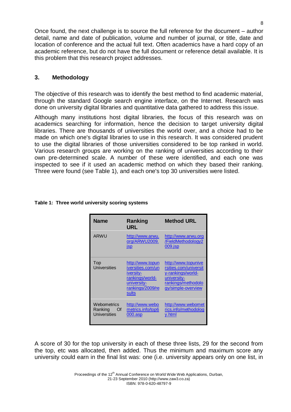Once found, the next challenge is to source the full reference for the document – author detail, name and date of publication, volume and number of journal, or title, date and location of conference and the actual full text. Often academics have a hard copy of an academic reference, but do not have the full document or reference detail available. It is this problem that this research project addresses.

# **3. Methodology**

The objective of this research was to identify the best method to find academic material, through the standard Google search engine interface, on the Internet. Research was done on university digital libraries and quantitative data gathered to address this issue.

Although many institutions host digital libraries, the focus of this research was on academics searching for information, hence the decision to target university digital libraries. There are thousands of universities the world over, and a choice had to be made on which one's digital libraries to use in this research. It was considered prudent to use the digital libraries of those universities considered to be top ranked in world. Various research groups are working on the ranking of universities according to their own pre-determined scale. A number of these were identified, and each one was inspected to see if it used an academic method on which they based their ranking. Three were found (see Table 1), and each one's top 30 universities were listed.

| <b>Name</b>                                      | Ranking<br>URL                                                                                                    | <b>Method URL</b>                                                                                                            |
|--------------------------------------------------|-------------------------------------------------------------------------------------------------------------------|------------------------------------------------------------------------------------------------------------------------------|
| <b>ARWU</b>                                      | http://www.arwu.<br>org/ARWU2009.<br><b>jsp</b>                                                                   | http://www.arwu.org<br>/FieldMethodology2<br>$009$ .jsp                                                                      |
| Top<br>Universities                              | http://www.topun<br>iversities.com/un<br>iversity-<br>rankings/world-<br>university-<br>rankings/2009/re<br>sults | http://www.topunive<br>rsities.com/universit<br>y-rankings/world-<br>university-<br>rankings/methodolo<br>gy/simple-overview |
| Webometrics<br>Ranking Of<br><b>Universities</b> | http://www.webo<br>metrics.info/top6<br>$000 \text{.}$ asp                                                        | http://www.webomet<br>rics.info/methodolog<br>v.html                                                                         |

### **Table 1: Three world university scoring systems**

A score of 30 for the top university in each of these three lists, 29 for the second from the top, etc was allocated, then added. Thus the minimum and maximum score any university could earn in the final list was: one (i.e. university appears only on one list, in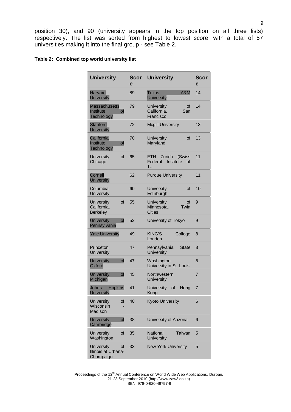position 30), and 90 (university appears in the top position on all three lists) respectively. The list was sorted from highest to lowest score, with a total of 57 universities making it into the final group - see Table 2.

#### **Table 2: Combined top world university list**

| <b>University</b>                                            | Scor<br>e | <b>University</b>                                                 | Scor<br>e      |
|--------------------------------------------------------------|-----------|-------------------------------------------------------------------|----------------|
| <b>Harvard</b><br><b>University</b>                          | 89        | A&M<br>Texas<br><b>University</b>                                 | 14             |
| <b>Massachusetts</b><br>Institute<br>of<br><b>Technology</b> | 79        | University<br>οf<br>California,<br>San<br>Francisco               | 14             |
| <b>Stanford</b><br><b>University</b>                         | 72        | <b>Mcgill University</b>                                          | 13             |
| California<br><b>Institute</b><br>οf<br>Technology           | 70        | University<br>οf<br>Maryland                                      | 13             |
| University<br>οf<br>Chicago                                  | 65        | ETH<br>Zurich<br>(Swiss<br>Institute<br>Federal<br>Ωf<br><b>T</b> | 11             |
| Cornell<br><b>University</b>                                 | 62        | <b>Purdue University</b>                                          | 11             |
| Columbia<br>University                                       | 60        | University<br>οf<br>Edinburgh                                     | 10             |
| University<br>οf<br>California,<br><b>Berkeley</b>           | 55        | <b>University</b><br>οf<br>Twin<br>Minnesota,<br><b>Cities</b>    | 9              |
| <b>University</b><br>of<br>Pennsylvania                      | 52        | University of Tokyo                                               | 9              |
| <b>Yale University</b>                                       | 49        | <b>KING'S</b><br>College<br>London                                | 8              |
| Princeton<br>University                                      | 47        | Pennsylvania<br><b>State</b><br>University                        | 8              |
| <b>University</b><br>οf<br>Oxford                            | 47        | Washington<br>University in St. Louis                             | 8              |
| <b>University</b><br>οf<br>Michigan                          | 45        | Northwestern<br>University                                        | $\overline{7}$ |
| Johns<br><b>Hopkins</b><br><b>University</b>                 | 41        | <b>University</b><br>οf<br>Hong<br>Kong                           | 7              |
| of<br>University<br>Wisconsin<br>Madison                     | 40        | <b>Kyoto University</b>                                           | 6              |
| <b>University</b><br>Οf<br>Cambridge                         | 38        | University of Arizona                                             | 6              |
| University<br>of<br>Washington                               | 35        | National<br>Taiwan<br>University                                  | 5              |
| <b>University</b><br>οf<br>Illinois at Urbana-<br>Champaign  | 33        | <b>New York University</b>                                        | 5              |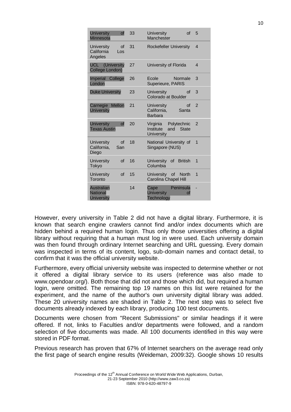| <b>University</b><br>of<br>Minnesota                         | 33 | <b>University</b><br>of<br>Manchester                           | 5              |
|--------------------------------------------------------------|----|-----------------------------------------------------------------|----------------|
| <b>University</b><br>of<br>California<br>Los<br>Angeles      | 31 | <b>Rockefeller University</b>                                   | $\overline{4}$ |
| <b>UCL</b> (University<br>College London)                    | 27 | University of Florida                                           | $\overline{4}$ |
| <b>Imperial</b><br>College<br>London                         | 26 | Ecole<br>Normale<br>Superieure, PARIS                           | 3              |
| <b>Duke University</b>                                       | 23 | University<br>οf<br>Colorado at Boulder                         | 3              |
| <b>Mellon</b><br>Carnegie<br><b>University</b>               | 21 | University<br>οf<br>Santa<br>California.<br><b>Barbara</b>      | $\mathcal{P}$  |
| <b>University</b><br>of<br><b>Texas Austin</b>               | 20 | Virginia<br>Polytechnic<br>Institute<br>and State<br>University | $\mathcal{P}$  |
| <b>University</b><br>$\Omega$<br>California.<br>San<br>Diego | 18 | National University of<br>Singapore (NUS)                       | 1              |
| University<br>$\alpha$ f<br>Tokyo                            | 16 | <b>University</b><br>of British<br>Columbia                     | 1              |
| $\alpha$ f<br>University<br>Toronto                          | 15 | University of North<br><b>Carolina Chapel Hill</b>              | 1              |
| <b>Australian</b><br><b>National</b><br><b>University</b>    | 14 | Peninsula<br>Cape<br><b>University</b><br>οf<br>Technology      |                |

However, every university in Table 2 did not have a digital library. Furthermore, it is known that search engine crawlers cannot find and/or index documents which are hidden behind a required human login. Thus only those universities offering a digital library without requiring that a human must log in were used. Each university domain was then found through ordinary Internet searching and URL guessing. Every domain was inspected in terms of its content, logo, sub-domain names and contact detail, to confirm that it was the official university website.

Furthermore, every official university website was inspected to determine whether or not it offered a digital library service to its users (reference was also made to www.opendoar.org/). Both those that did not and those which did, but required a human login, were omitted. The remaining top 19 names on this list were retained for the experiment, and the name of the author's own university digital library was added. These 20 university names are shaded in Table 2. The next step was to select five documents already indexed by each library, producing 100 test documents.

Documents were chosen from "Recent Submissions" or similar headings if it were offered. If not, links to Faculties and/or departments were followed, and a random selection of five documents was made. All 100 documents identified in this way were stored in PDF format.

Previous research has proven that 67% of Internet searchers on the average read only the first page of search engine results (Weideman, 2009:32). Google shows 10 results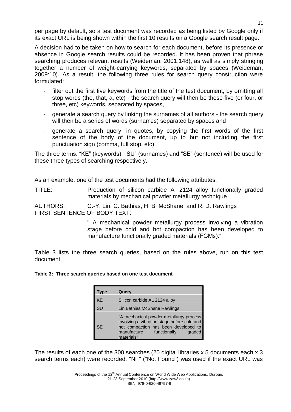per page by default, so a test document was recorded as being listed by Google only if its exact URL is being shown within the first 10 results on a Google search result page.

A decision had to be taken on how to search for each document, before its presence or absence in Google search results could be recorded. It has been proven that phrase searching produces relevant results (Weideman, 2001:148), as well as simply stringing together a number of weight-carrying keywords, separated by spaces (Weideman, 2009:10). As a result, the following three rules for search query construction were formulated:

- filter out the first five keywords from the title of the test document, by omitting all stop words (the, that, a, etc) - the search query will then be these five (or four, or three, etc) keywords, separated by spaces,
- generate a search query by linking the surnames of all authors the search query will then be a series of words (surnames) separated by spaces and
- generate a search query, in quotes, by copying the first words of the first sentence of the body of the document, up to but not including the first punctuation sign (comma, full stop, etc).

The three terms: "KE" (keywords), "SU" (surnames) and "SE" (sentence) will be used for these three types of searching respectively.

As an example, one of the test documents had the following attributes:

TITLE: Production of silicon carbide Al 2124 alloy functionally graded materials by mechanical powder metallurgy technique

AUTHORS: C.-Y. Lin, C. Bathias, H. B. McShane, and R. D. Rawlings FIRST SENTENCE OF BODY TEXT:

> " A mechanical powder metallurgy process involving a vibration stage before cold and hot compaction has been developed to manufacture functionally graded materials (FGMs)."

Table 3 lists the three search queries, based on the rules above, run on this test document.

**Table 3: Three search queries based on one test document**

| Type      | Query                                                                                                                                                                                 |
|-----------|---------------------------------------------------------------------------------------------------------------------------------------------------------------------------------------|
| KE        | Silicon carbide AL 2124 alloy                                                                                                                                                         |
| SU        | Lin Bathias McShane Rawlings                                                                                                                                                          |
| <b>SE</b> | "A mechanical powder metallurgy process<br>involving a vibration stage before cold and<br>hot compaction has been developed to<br>manufacture<br>graded<br>functionally<br>materials" |

The results of each one of the 300 searches (20 digital libraries x 5 documents each x 3 search terms each) were recorded. "NF" ("Not Found") was used if the exact URL was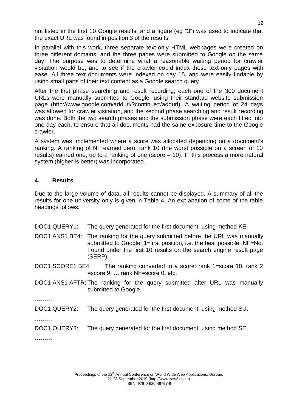not listed in the first 10 Google results, and a figure (eg "3") was used to indicate that the exact URL was found in position 3 of the results.

In parallel with this work, three separate text-only HTML webpages were created on three different domains, and the three pages were submitted to Google on the same day. The purpose was to determine what a reasonable waiting period for crawler visitation would be, and to see if the crawler could index these text-only pages with ease. All three text documents were indexed on day 15, and were easily findable by using small parts of their text content as a Google search query.

After the first phase searching and result recording, each one of the 300 document URLs were manually submitted to Google, using their standard website submission page (http://www.google.com/addurl/?continue=/addurl). A waiting period of 24 days was allowed for crawler visitation, and the second phase searching and result recording was done. Both the two search phases and the submission phase were each fitted into one day each, to ensure that all documents had the same exposure time to the Google crawler.

A system was implemented where a score was allocated depending on a document's ranking. A ranking of NF earned zero, rank 10 (the worst possible on a screen of 10 results) earned one, up to a ranking of one (score = 10). In this process a more natural system (higher is better) was incorporated.

# **4. Results**

Due to the large volume of data, all results cannot be displayed. A summary of all the results for one university only is given in Table 4. An explanation of some of the table headings follows.

DOC1 QUERY1: The query generated for the first document, using method KE.

DOC1 ANS1 BE4: The ranking for the query submitted before the URL was manually submitted to Google: 1=first position, i.e. the best possible. NF=Not Found under the first 10 results on the search engine result page (SERP).

DOC1 SCORE1 BE4: The ranking converted to a score: rank 1=score 10, rank 2 =score 9, … rank NF=score 0, etc.

DOC1 ANS1 AFTR: The ranking for the query submitted after URL was manually submitted to Google.

………

DOC1 QUERY2: The query generated for the first document, using method SU.

………

DOC1 QUERY3: The query generated for the first document, using method SE.

………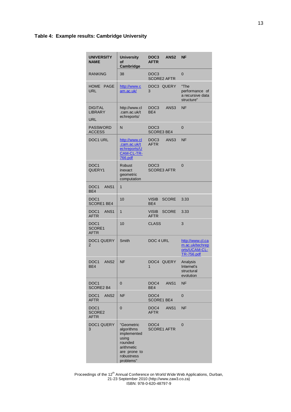#### **Table 4: Example results: Cambridge University**

| <b>UNIVERSITY</b><br><b>NAME</b>                    | <b>University</b><br>οf<br>Cambridge                                                                                 | ANS <sub>2</sub><br>DOC <sub>3</sub><br><b>AFTR</b> | <b>NF</b>                                                                 |
|-----------------------------------------------------|----------------------------------------------------------------------------------------------------------------------|-----------------------------------------------------|---------------------------------------------------------------------------|
| <b>RANKING</b>                                      | 38                                                                                                                   | DOC <sub>3</sub><br><b>SCORE2 AFTR</b>              | $\Omega$                                                                  |
| <b>HOME</b><br><b>PAGE</b><br>URL                   | http://www.c<br>am.ac.uk/                                                                                            | DOC3 QUERY<br>3                                     | "The<br>performance of<br>a recursive data<br>structure"                  |
| <b>DIGITAL</b><br><b>LIBRARY</b><br>URL             | http://www.cl<br>.cam.ac.uk/t<br>echreports/                                                                         | DOC <sub>3</sub><br>ANS3<br>BE4                     | <b>NF</b>                                                                 |
| <b>PASSWORD</b><br><b>ACCESS</b>                    | N                                                                                                                    | DOC3<br><b>SCORE3 BE4</b>                           | $\overline{0}$                                                            |
| <b>DOC1 URL</b>                                     | http://www.cl<br>.cam.ac.uk/t<br>echreports/U<br><b>CAM-CL-TR-</b><br>766.pdf                                        | DOC <sub>3</sub><br>ANS3<br><b>AFTR</b>             | <b>NF</b>                                                                 |
| DOC <sub>1</sub><br>QUERY1                          | Robust<br>inexact<br>geometric<br>computation                                                                        | DOC <sub>3</sub><br><b>SCORE3 AFTR</b>              | $\overline{0}$                                                            |
| DOC <sub>1</sub><br>ANS <sub>1</sub><br>BF4         | $\overline{1}$                                                                                                       |                                                     |                                                                           |
| DOC <sub>1</sub><br>SCORE1 BE4                      | 10                                                                                                                   | <b>VISIB</b><br><b>SCORE</b><br>BE4                 | 3.33                                                                      |
| DOC <sub>1</sub><br>ANS <sub>1</sub><br><b>AFTR</b> | 1                                                                                                                    | <b>VISIB</b><br><b>SCORE</b><br><b>AFTR</b>         | 3.33                                                                      |
| DOC <sub>1</sub><br>SCORE1<br><b>AFTR</b>           | 10                                                                                                                   | <b>CLASS</b>                                        | 3                                                                         |
| <b>DOC1 QUERY</b><br>$\overline{2}$                 | Smith                                                                                                                | DOC 4 URL                                           | http://www.cl.ca<br>m.ac.uk/techrep<br>orts/UCAM-CL-<br><b>TR-756.pdf</b> |
| DOC <sub>1</sub><br>ANS <sub>2</sub><br>BE4         | <b>NF</b>                                                                                                            | DOC4 QUERY<br>1                                     | Analysis<br>Internet's<br>structural<br>evolution                         |
| DOC <sub>1</sub><br><b>SCORE2 B4</b>                | 0                                                                                                                    | ANS <sub>1</sub><br>DOC4<br>BE4                     | <b>NF</b>                                                                 |
| DOC <sub>1</sub><br>ANS <sub>2</sub><br><b>AFTR</b> | <b>NF</b>                                                                                                            | DOC <sub>4</sub><br><b>SCORE1 BE4</b>               | $\mathbf 0$                                                               |
| DOC <sub>1</sub><br>SCORE2<br><b>AFTR</b>           | $\overline{0}$                                                                                                       | DOC <sub>4</sub><br>ANS <sub>1</sub><br><b>AFTR</b> | NF                                                                        |
| <b>DOC1 QUERY</b><br>3                              | "Geometric<br>algorithms<br>implemented<br>using<br>rounded<br>arithmetic<br>are prone to<br>robustness<br>problems" | DOC <sub>4</sub><br><b>SCORE1 AFTR</b>              | $\overline{0}$                                                            |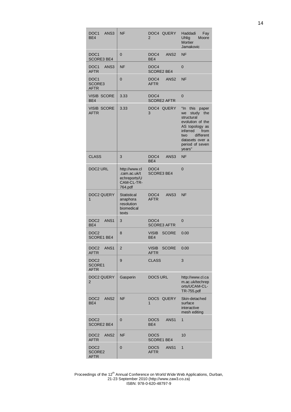| DOC <sub>1</sub><br>ANS3<br>BE4                     | <b>NF</b>                                                              | DOC4 QUERY<br>$\overline{2}$                        | Haddadi<br>Fay<br><b>Uhlig</b><br>Moore<br><b>Mortier</b><br>Jamakovic                                                                                                           |
|-----------------------------------------------------|------------------------------------------------------------------------|-----------------------------------------------------|----------------------------------------------------------------------------------------------------------------------------------------------------------------------------------|
| DOC <sub>1</sub><br><b>SCORE3 BE4</b>               | $\mathbf 0$                                                            | DOC <sub>4</sub><br>ANS <sub>2</sub><br>BE4         | <b>NF</b>                                                                                                                                                                        |
| DOC <sub>1</sub><br>ANS3<br><b>AFTR</b>             | <b>NF</b>                                                              | DOC <sub>4</sub><br><b>SCORE2 BE4</b>               | $\overline{0}$                                                                                                                                                                   |
| DOC <sub>1</sub><br>SCORE3<br><b>AFTR</b>           | $\mathbf 0$                                                            | ANS <sub>2</sub><br>DOC <sub>4</sub><br><b>AFTR</b> | <b>NF</b>                                                                                                                                                                        |
| <b>VISIB SCORE</b><br>BE4                           | 3.33                                                                   | DOC <sub>4</sub><br><b>SCORE2 AFTR</b>              | $\mathbf 0$                                                                                                                                                                      |
| <b>VISIB SCORE</b><br><b>AFTR</b>                   | 3.33                                                                   | DOC4 QUERY<br>3                                     | "In<br>this paper<br>study the<br>we<br>structural<br>evolution of the<br>AS topology as<br>inferred<br>from<br>two<br>different<br>datasets over a<br>period of seven<br>years" |
| <b>CLASS</b>                                        | 3                                                                      | DOC <sub>4</sub><br>ANS <sub>3</sub><br>BE4         | <b>NF</b>                                                                                                                                                                        |
| DOC2 URL                                            | http://www.cl<br>.cam.ac.uk/t<br>echreports/U<br>CAM-CL-TR-<br>764.pdf | DOC <sub>4</sub><br><b>SCORE3 BE4</b>               | $\overline{0}$                                                                                                                                                                   |
| DOC2 QUERY<br>1                                     | <b>Statistical</b><br>anaphora<br>resolution<br>biomedical<br>texts    | DOC4<br>ANS <sub>3</sub><br><b>AFTR</b>             | <b>NF</b>                                                                                                                                                                        |
| DOC <sub>2</sub><br>ANS <sub>1</sub><br>BE4         | 3                                                                      | DOC <sub>4</sub><br><b>SCORE3 AFTR</b>              | 0                                                                                                                                                                                |
| DOC <sub>2</sub><br>SCORE1 BE4                      | 8                                                                      | <b>VISIB</b><br><b>SCORE</b><br>BE4                 | 0.00                                                                                                                                                                             |
| DOC <sub>2</sub><br>ANS <sub>1</sub><br>AFTR        | $\overline{2}$                                                         | VISIB SCORE<br><b>AFTR</b>                          | 0.00                                                                                                                                                                             |
| DOC <sub>2</sub><br>SCORE1<br><b>AFTR</b>           | 9                                                                      | <b>CLASS</b>                                        | 3                                                                                                                                                                                |
| DOC2 QUERY<br>2                                     | Gasperin                                                               | DOC5 URL                                            | http://www.cl.ca<br>m.ac.uk/techrep<br>orts/UCAM-CL-<br>TR-755.pdf                                                                                                               |
| DOC <sub>2</sub><br>ANS <sub>2</sub><br>BE4         | <b>NF</b>                                                              | DOC5 QUERY<br>$\mathbf{1}$                          | Skin-detached<br>surface<br>interactive<br>mesh editing                                                                                                                          |
| DOC <sub>2</sub><br><b>SCORE2 BE4</b>               | 0                                                                      | DOC <sub>5</sub><br>ANS <sub>1</sub><br>BE4         | $\mathbf{1}$                                                                                                                                                                     |
| ANS <sub>2</sub><br>DOC <sub>2</sub><br><b>AFTR</b> | <b>NF</b>                                                              | DOC <sub>5</sub><br>SCORE1 BE4                      | 10                                                                                                                                                                               |
| DOC <sub>2</sub><br>SCORE2<br><b>AFTR</b>           | $\mathbf 0$                                                            | DOC <sub>5</sub><br>ANS <sub>1</sub><br><b>AFTR</b> | 1                                                                                                                                                                                |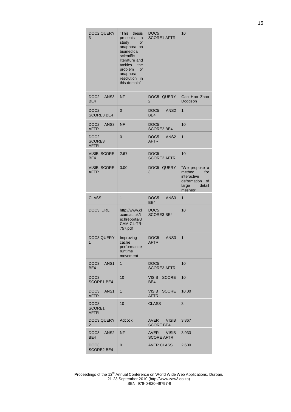| DOC2 QUERY<br>3                           | "This<br>thesis<br>presents<br>a<br>study<br>οf<br>anaphora on<br>biomedical<br>scientific<br>literature and<br>tackles<br>the<br>problem<br>of<br>anaphora<br>resolution in<br>this domain" | DOC <sub>5</sub><br><b>SCORE1 AFTR</b>              | 10                                                                                               |
|-------------------------------------------|----------------------------------------------------------------------------------------------------------------------------------------------------------------------------------------------|-----------------------------------------------------|--------------------------------------------------------------------------------------------------|
| ANS <sub>3</sub><br>DOC2<br>BE4           | <b>NF</b>                                                                                                                                                                                    | DOC5 QUERY<br>$\overline{2}$                        | Gao Hao Zhao<br>Dodgson                                                                          |
| DOC <sub>2</sub><br><b>SCORE3 BE4</b>     | $\mathbf 0$                                                                                                                                                                                  | DOC <sub>5</sub><br>ANS <sub>2</sub><br>BE4         | $\mathbf{1}$                                                                                     |
| DOC <sub>2</sub><br>ANS3<br><b>AFTR</b>   | <b>NF</b>                                                                                                                                                                                    | DOC <sub>5</sub><br><b>SCORE2 BE4</b>               | 10                                                                                               |
| DOC <sub>2</sub><br>SCORE3<br><b>AFTR</b> | 0                                                                                                                                                                                            | ANS <sub>2</sub><br>DOC <sub>5</sub><br><b>AFTR</b> | $\mathbf{1}$                                                                                     |
| <b>VISIB SCORE</b><br>BE4                 | 2.67                                                                                                                                                                                         | DOC <sub>5</sub><br><b>SCORE2 AFTR</b>              | 10                                                                                               |
| VISIB SCORE<br><b>AFTR</b>                | 3.00                                                                                                                                                                                         | DOC5 QUERY<br>3                                     | "We propose a<br>method<br>for<br>interactive<br>deformation<br>οf<br>large<br>detail<br>meshes" |
| <b>CLASS</b>                              | $\mathbf{1}$                                                                                                                                                                                 | DOC <sub>5</sub><br>ANS <sub>3</sub><br>BE4         | $\mathbf{1}$                                                                                     |
| DOC3 URL                                  | http://www.cl<br>.cam.ac.uk/t<br>echreports/U<br>CAM-CL-TR-<br>757.pdf                                                                                                                       | DOC <sub>5</sub><br><b>SCORE3 BE4</b>               | 10                                                                                               |
| <b>DOC3 QUERY</b><br>1                    | Improving<br>cache<br>performance<br>runtime                                                                                                                                                 | ANS3<br>DOC5<br><b>AFTR</b>                         | 1                                                                                                |
|                                           | movement                                                                                                                                                                                     |                                                     |                                                                                                  |
| DOC3 ANS1<br>BE4                          | $\mathbf{1}$                                                                                                                                                                                 | DOC5<br><b>SCORE3 AFTR</b>                          | 10                                                                                               |
| DOC3<br><b>SCORE1 BE4</b>                 | 10                                                                                                                                                                                           | VISIB<br><b>SCORE</b><br>BE4                        | 10                                                                                               |
| DOC3 ANS1<br>AFTR                         | $\mathbf{1}$                                                                                                                                                                                 | VISIB<br><b>SCORE</b><br>AFTR                       | 10.00                                                                                            |
| DOC <sub>3</sub><br>SCORE1<br>AFTR        | 10                                                                                                                                                                                           | <b>CLASS</b>                                        | 3                                                                                                |
| DOC3 QUERY<br>$\overline{2}$              | Adcock                                                                                                                                                                                       | AVER VISIB<br><b>SCORE BE4</b>                      | 3.867                                                                                            |
| DOC3<br>ANS <sub>2</sub><br>BE4           | <b>NF</b>                                                                                                                                                                                    | AVER VISIB<br><b>SCORE AFTR</b>                     | 3.933                                                                                            |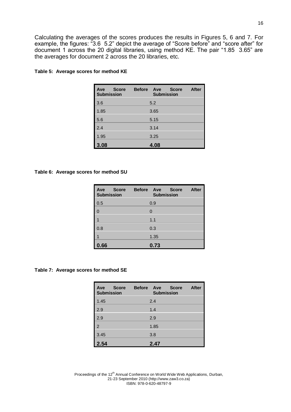Calculating the averages of the scores produces the results in Figures 5, 6 and 7. For example, the figures: "3.6 5.2" depict the average of "Score before" and "score after" for document 1 across the 20 digital libraries, using method KE. The pair "1.85 3.65" are the averages for document 2 across the 20 libraries, etc.

| <b>Score</b><br>Ave<br><b>Submission</b> | <b>Before</b> | Ave<br><b>Submission</b> | <b>Score</b> | <b>After</b> |
|------------------------------------------|---------------|--------------------------|--------------|--------------|
| 3.6                                      |               | 5.2                      |              |              |
| 1.85                                     |               | 3.65                     |              |              |
| 5.6                                      |               | 5.15                     |              |              |
| 2.4                                      |               | 3.14                     |              |              |
| 1.95                                     |               | 3.25                     |              |              |
| 3.08                                     |               | 4.08                     |              |              |

#### **Table 5: Average scores for method KE**

#### **Table 6: Average scores for method SU**

| Ave<br><b>Score</b><br><b>Submission</b> | <b>Before</b><br>Ave<br><b>Score</b><br><b>Submission</b> | <b>After</b> |
|------------------------------------------|-----------------------------------------------------------|--------------|
| 0.5                                      | 0.9                                                       |              |
| $\Omega$                                 | $\Omega$                                                  |              |
|                                          | 1.1                                                       |              |
| 0.8                                      | 0.3                                                       |              |
|                                          | 1.35                                                      |              |
| 0.66                                     | 0.73                                                      |              |

#### **Table 7: Average scores for method SE**

| Ave<br><b>Score</b><br><b>Submission</b> | <b>Before</b><br>Ave<br><b>Submission</b> | <b>After</b><br><b>Score</b> |
|------------------------------------------|-------------------------------------------|------------------------------|
| 1.45                                     | 2.4                                       |                              |
| 2.9                                      | 1.4                                       |                              |
| 2.9                                      | 2.9                                       |                              |
| $\overline{2}$                           | 1.85                                      |                              |
| 3.45                                     | 3.8                                       |                              |
| 2.54                                     | 2.47                                      |                              |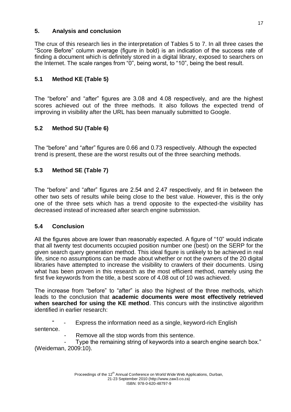# **5. Analysis and conclusion**

The crux of this research lies in the interpretation of Tables 5 to 7. In all three cases the "Score Before" column average (figure in bold) is an indication of the success rate of finding a document which is definitely stored in a digital library, exposed to searchers on the Internet. The scale ranges from "0", being worst, to "10", being the best result.

# **5.1 Method KE (Table 5)**

The "before" and "after" figures are 3.08 and 4.08 respectively, and are the highest scores achieved out of the three methods. It also follows the expected trend of improving in visibility after the URL has been manually submitted to Google.

# **5.2 Method SU (Table 6)**

The "before" and "after" figures are 0.66 and 0.73 respectively. Although the expected trend is present, these are the worst results out of the three searching methods.

# **5.3 Method SE (Table 7)**

The "before" and "after" figures are 2.54 and 2.47 respectively, and fit in between the other two sets of results while being close to the best value. However, this is the only one of the three sets which has a trend opposite to the expected-the visibility has decreased instead of increased after search engine submission.

# **5.4 Conclusion**

All the figures above are lower than reasonably expected. A figure of "10" would indicate that all twenty test documents occupied position number one (best) on the SERP for the given search query generation method. This ideal figure is unlikely to be achieved in real life, since no assumptions can be made about whether or not the owners of the 20 digital libraries have attempted to increase the visibility to crawlers of their documents. Using what has been proven in this research as the most efficient method, namely using the first five keywords from the title, a best score of 4.08 out of 10 was achieved.

The increase from "before" to "after" is also the highest of the three methods, which leads to the conclusion that **academic documents were most effectively retrieved when searched for using the KE method**. This concurs with the instinctive algorithm identified in earlier research:

Express the information need as a single, keyword-rich English sentence.

Remove all the stop words from this sentence.

Type the remaining string of keywords into a search engine search box." (Weideman, 2009:10).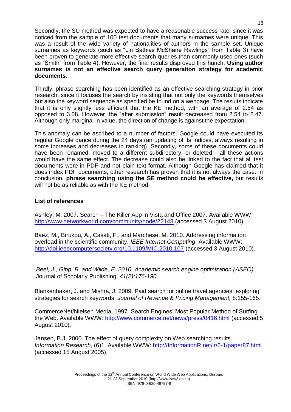Secondly, the SU method was expected to have a reasonable success rate, since it was noticed from the sample of 100 test documents that many surnames were unique. This was a result of the wide variety of nationalities of authors in the sample set. Unique surnames as keywords (such as "Lin Bathias McShane Rawlings" from Table 3) have been proven to generate more effective search queries than commonly used ones (such as "Smith" from Table 4). However, the final results disproved this hunch. **Using author surnames is not an effective search query generation strategy for academic documents.**

Thirdly, phrase searching has been identified as an effective searching strategy in prior research, since it focuses the search by insisting that not only the keywords themselves but also the keyword sequence as specified be found on a webpage. The results indicate that it is only slightly less efficient that the KE method, with an average of 2.54 as opposed to 3.08. However, the "after submission" result decreased from 2.54 to 2.47. Although only marginal in value, the direction of change is against the expectation.

This anomaly can be ascribed to a number of factors. Google could have executed its regular Google dance during the 24 days (an updating of its indices, always resulting in some increases and decreases in ranking). Secondly, some of these documents could have been renamed, moved to a different subdirectory, or deleted - all these actions would have the same effect. The decrease could also be linked to the fact that all test documents were in PDF and not plain text format. Although Google has claimed that it does index PDF documents, other research has proven that it is not always the case. In conclusion, **phrase searching using the SE method could be effective,** but results will not be as reliable as with the KE method.

# **List of references**

Ashley, M. 2007. Search – The Killer App in Vista and Office 2007. Available WWW: <http://www.networkworld.com/community/node/22148> (accessed 3 August 2010).

Baez, M., Birukou, A., Casati, F., and Marchese, M. 2010. Addressing information overload in the scientific community. *IEEE Internet Computing*. Available WWW: <http://doi.ieeecomputersociety.org/10.1109/MIC.2010.107> (accessed 3 August 2010).

*Beel, J., Gipp, B. and Wilde, E. 2010. Academic search engine optimization (ASEO).*  Journal of Scholarly Publishing, *41(2):176-190.*

Blankenbaker, J. and Mishra, J. 2009. Paid search for online travel agencies: exploring strategies for search keywords. *Journal of Revenue & Pricing Management,* 8:155-165.

CommerceNet/Nielsen Media. 1997. Search Engines' Most Popular Method of Surfing the Web. Available WWW:<http://www.commerce.net/news/press/0416.html> (accessed 5 August 2010).

Jansen, B.J. 2000. The effect of query complexity on Web searching results. *Information Research*, (6)1. Available WWW: [http://InformationR.net/ir/6-1/paper87.html](http://informationr.net/ir/6-1/paper87.html) (accessed 15 August 2005).